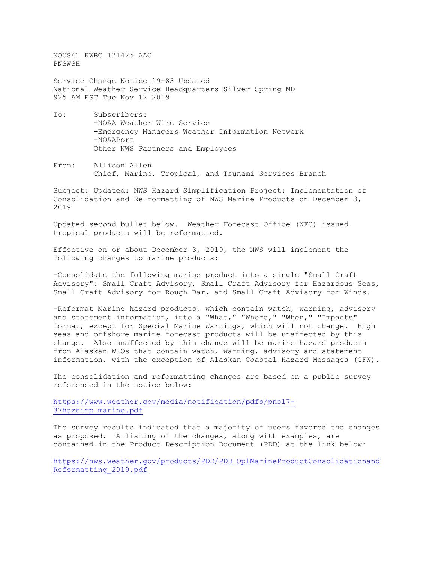NOUS41 KWBC 121425 AAC PNSWSH

Service Change Notice 19-83 Updated National Weather Service Headquarters Silver Spring MD 925 AM EST Tue Nov 12 2019

- To: Subscribers: -NOAA Weather Wire Service -Emergency Managers Weather Information Network -NOAAPort Other NWS Partners and Employees
- From: Allison Allen Chief, Marine, Tropical, and Tsunami Services Branch

Subject: Updated: NWS Hazard Simplification Project: Implementation of Consolidation and Re-formatting of NWS Marine Products on December 3, 2019

Updated second bullet below. Weather Forecast Office (WFO)-issued tropical products will be reformatted.

Effective on or about December 3, 2019, the NWS will implement the following changes to marine products:

-Consolidate the following marine product into a single "Small Craft Advisory": Small Craft Advisory, Small Craft Advisory for Hazardous Seas, Small Craft Advisory for Rough Bar, and Small Craft Advisory for Winds.

-Reformat Marine hazard products, which contain watch, warning, advisory and statement information, into a "What," "Where," "When," "Impacts" format, except for Special Marine Warnings, which will not change. High seas and offshore marine forecast products will be unaffected by this change. Also unaffected by this change will be marine hazard products from Alaskan WFOs that contain watch, warning, advisory and statement information, with the exception of Alaskan Coastal Hazard Messages (CFW).

The consolidation and reformatting changes are based on a public survey referenced in the notice below:

[https://www.weather.gov/media/notification/pdfs/pns17-](https://www.weather.gov/media/notification/pdfs/pns17-37hazsimp_marine.pdf) [37hazsimp\\_marine.pdf](https://www.weather.gov/media/notification/pdfs/pns17-37hazsimp_marine.pdf)

The survey results indicated that a majority of users favored the changes as proposed. A listing of the changes, along with examples, are contained in the Product Description Document (PDD) at the link below:

[https://nws.weather.gov/products/PDD/PDD\\_OplMarineProductConsolidationand](https://nws.weather.gov/products/PDD/PDD_OplMarineProductConsolidationandReformatting_2019.pdf) [Reformatting\\_2019.pdf](https://nws.weather.gov/products/PDD/PDD_OplMarineProductConsolidationandReformatting_2019.pdf)